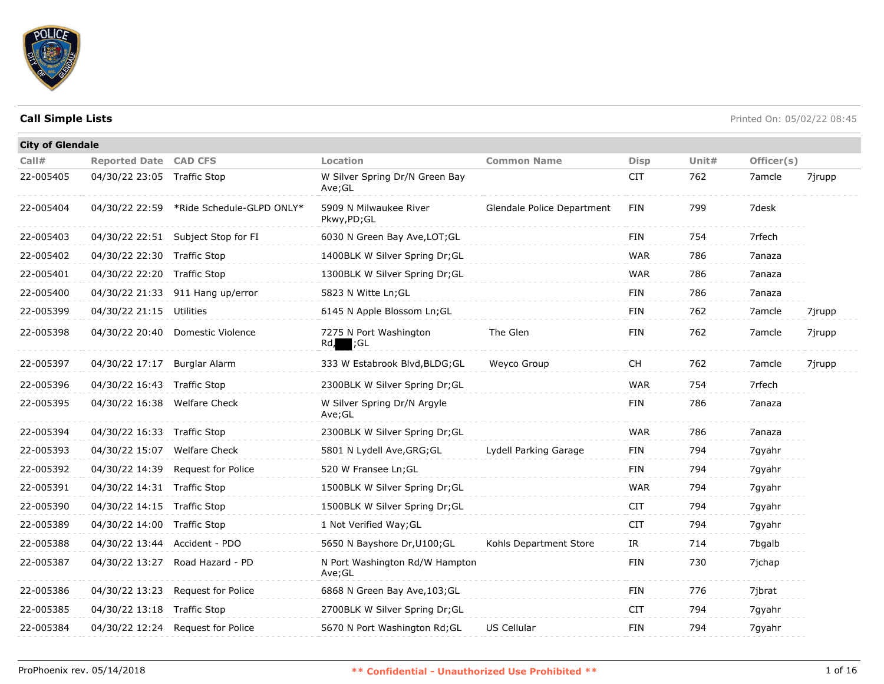

| <b>City of Glendale</b> |                              |                                          |                                          |                            |             |          |            |        |
|-------------------------|------------------------------|------------------------------------------|------------------------------------------|----------------------------|-------------|----------|------------|--------|
| Call#                   | <b>Reported Date CAD CFS</b> |                                          | Location                                 | <b>Common Name</b>         | <b>Disp</b> | Unit $#$ | Officer(s) |        |
| 22-005405               | 04/30/22 23:05 Traffic Stop  |                                          | W Silver Spring Dr/N Green Bay<br>Ave;GL |                            | <b>CIT</b>  | 762      | 7amcle     | 7jrupp |
| 22-005404               |                              | 04/30/22 22:59 *Ride Schedule-GLPD ONLY* | 5909 N Milwaukee River<br>Pkwy,PD;GL     | Glendale Police Department | FIN         | 799      | 7desk      |        |
| 22-005403               |                              | 04/30/22 22:51 Subject Stop for FI       | 6030 N Green Bay Ave, LOT; GL            |                            | <b>FIN</b>  | 754      | 7rfech     |        |
| 22-005402               | 04/30/22 22:30 Traffic Stop  |                                          | 1400BLK W Silver Spring Dr;GL            |                            | <b>WAR</b>  | 786      | 7anaza     |        |
| 22-005401               | 04/30/22 22:20               | Traffic Stop                             | 1300BLK W Silver Spring Dr;GL            |                            | <b>WAR</b>  | 786      | 7anaza     |        |
| 22-005400               |                              | 04/30/22 21:33 911 Hang up/error         | 5823 N Witte Ln; GL                      |                            | FIN         | 786      | 7anaza     |        |
| 22-005399               | 04/30/22 21:15               | Utilities                                | 6145 N Apple Blossom Ln; GL              |                            | FIN         | 762      | 7amcle     | 7jrupp |
| 22-005398               |                              | 04/30/22 20:40 Domestic Violence         | 7275 N Port Washington<br>;GL<br>Rd,     | The Glen                   | <b>FIN</b>  | 762      | 7amcle     | 7jrupp |
| 22-005397               | 04/30/22 17:17 Burglar Alarm |                                          | 333 W Estabrook Blvd, BLDG; GL           | Weyco Group                | <b>CH</b>   | 762      | 7amcle     | 7jrupp |
| 22-005396               | 04/30/22 16:43 Traffic Stop  |                                          | 2300BLK W Silver Spring Dr;GL            |                            | <b>WAR</b>  | 754      | 7rfech     |        |
| 22-005395               | 04/30/22 16:38               | <b>Welfare Check</b>                     | W Silver Spring Dr/N Argyle<br>Ave;GL    |                            | <b>FIN</b>  | 786      | 7anaza     |        |
| 22-005394               | 04/30/22 16:33 Traffic Stop  |                                          | 2300BLK W Silver Spring Dr;GL            |                            | <b>WAR</b>  | 786      | 7anaza     |        |
| 22-005393               | 04/30/22 15:07               | <b>Welfare Check</b>                     | 5801 N Lydell Ave, GRG; GL               | Lydell Parking Garage      | <b>FIN</b>  | 794      | 7gyahr     |        |
| 22-005392               | 04/30/22 14:39               | Request for Police                       | 520 W Fransee Ln; GL                     |                            | <b>FIN</b>  | 794      | 7gyahr     |        |
| 22-005391               | 04/30/22 14:31 Traffic Stop  |                                          | 1500BLK W Silver Spring Dr;GL            |                            | <b>WAR</b>  | 794      | 7gyahr     |        |
| 22-005390               | 04/30/22 14:15 Traffic Stop  |                                          | 1500BLK W Silver Spring Dr;GL            |                            | <b>CIT</b>  | 794      | 7gyahr     |        |
| 22-005389               | 04/30/22 14:00 Traffic Stop  |                                          | 1 Not Verified Way; GL                   |                            | <b>CIT</b>  | 794      | 7qyahr     |        |
| 22-005388               | 04/30/22 13:44               | Accident - PDO                           | 5650 N Bayshore Dr, U100; GL             | Kohls Department Store     | IR          | 714      | 7bgalb     |        |
| 22-005387               | 04/30/22 13:27               | Road Hazard - PD                         | N Port Washington Rd/W Hampton<br>Ave;GL |                            | FIN         | 730      | 7jchap     |        |
| 22-005386               |                              | 04/30/22 13:23 Request for Police        | 6868 N Green Bay Ave, 103; GL            |                            | <b>FIN</b>  | 776      | 7jbrat     |        |
| 22-005385               | 04/30/22 13:18 Traffic Stop  |                                          | 2700BLK W Silver Spring Dr;GL            |                            | <b>CIT</b>  | 794      | 7gyahr     |        |
| 22-005384               |                              | 04/30/22 12:24 Request for Police        | 5670 N Port Washington Rd; GL            | US Cellular                | <b>FIN</b>  | 794      | 7gyahr     |        |
|                         |                              |                                          |                                          |                            |             |          |            |        |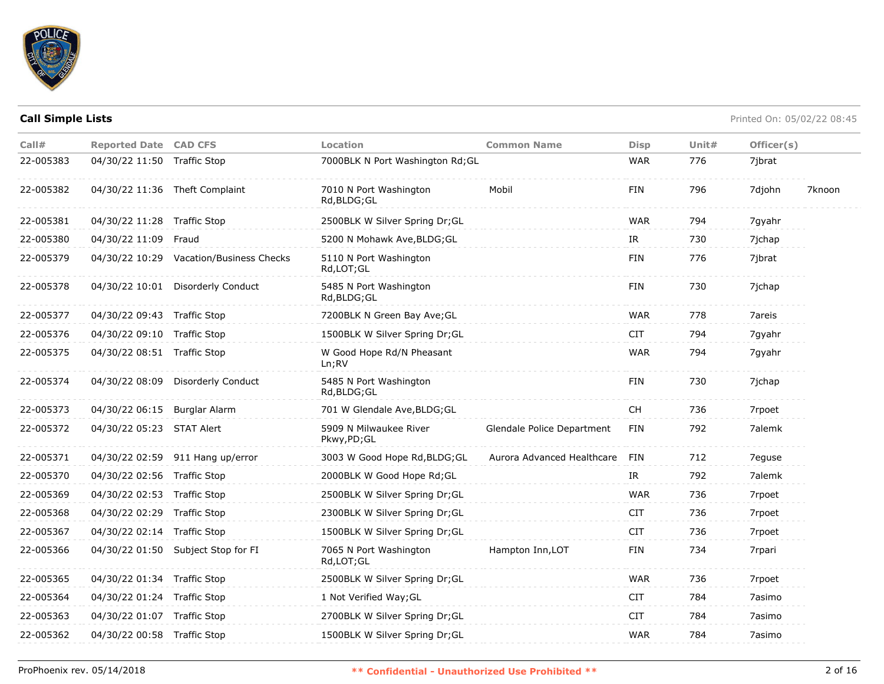

| Call#     | <b>Reported Date CAD CFS</b> |                                    | Location                               | <b>Common Name</b>         | <b>Disp</b> | Unit $#$ | Officer(s) |        |
|-----------|------------------------------|------------------------------------|----------------------------------------|----------------------------|-------------|----------|------------|--------|
| 22-005383 | 04/30/22 11:50 Traffic Stop  |                                    | 7000BLK N Port Washington Rd; GL       |                            | <b>WAR</b>  | 776      | 7ibrat     |        |
| 22-005382 |                              | 04/30/22 11:36 Theft Complaint     | 7010 N Port Washington<br>Rd, BLDG; GL | Mobil                      | <b>FIN</b>  | 796      | 7djohn     | 7knoon |
| 22-005381 | 04/30/22 11:28 Traffic Stop  |                                    | 2500BLK W Silver Spring Dr; GL         |                            | <b>WAR</b>  | 794      | 7gyahr     |        |
| 22-005380 | 04/30/22 11:09               | Fraud                              | 5200 N Mohawk Ave, BLDG; GL            |                            | IR          | 730      | 7jchap     |        |
| 22-005379 | 04/30/22 10:29               | Vacation/Business Checks           | 5110 N Port Washington<br>Rd,LOT;GL    |                            | <b>FIN</b>  | 776      | 7jbrat     |        |
| 22-005378 |                              | 04/30/22 10:01 Disorderly Conduct  | 5485 N Port Washington<br>Rd, BLDG; GL |                            | <b>FIN</b>  | 730      | 7jchap     |        |
| 22-005377 | 04/30/22 09:43 Traffic Stop  |                                    | 7200BLK N Green Bay Ave; GL            |                            | <b>WAR</b>  | 778      | 7areis     |        |
| 22-005376 | 04/30/22 09:10 Traffic Stop  |                                    | 1500BLK W Silver Spring Dr; GL         |                            | <b>CIT</b>  | 794      | 7gyahr     |        |
| 22-005375 | 04/30/22 08:51 Traffic Stop  |                                    | W Good Hope Rd/N Pheasant<br>Ln;RV     |                            | <b>WAR</b>  | 794      | 7gyahr     |        |
| 22-005374 |                              | 04/30/22 08:09 Disorderly Conduct  | 5485 N Port Washington<br>Rd, BLDG; GL |                            | <b>FIN</b>  | 730      | 7ichap     |        |
| 22-005373 | 04/30/22 06:15 Burglar Alarm |                                    | 701 W Glendale Ave, BLDG; GL           |                            | <b>CH</b>   | 736      | 7rpoet     |        |
| 22-005372 | 04/30/22 05:23 STAT Alert    |                                    | 5909 N Milwaukee River<br>Pkwy,PD;GL   | Glendale Police Department | FIN         | 792      | 7alemk     |        |
| 22-005371 |                              | 04/30/22 02:59 911 Hang up/error   | 3003 W Good Hope Rd, BLDG; GL          | Aurora Advanced Healthcare | FIN         | 712      | 7eguse     |        |
| 22-005370 | 04/30/22 02:56 Traffic Stop  |                                    | 2000BLK W Good Hope Rd; GL             |                            | IR          | 792      | 7alemk     |        |
| 22-005369 | 04/30/22 02:53 Traffic Stop  |                                    | 2500BLK W Silver Spring Dr;GL          |                            | <b>WAR</b>  | 736      | 7rpoet     |        |
| 22-005368 | 04/30/22 02:29               | Traffic Stop                       | 2300BLK W Silver Spring Dr; GL         |                            | <b>CIT</b>  | 736      | 7rpoet     |        |
| 22-005367 | 04/30/22 02:14 Traffic Stop  |                                    | 1500BLK W Silver Spring Dr; GL         |                            | <b>CIT</b>  | 736      | 7rpoet     |        |
| 22-005366 |                              | 04/30/22 01:50 Subject Stop for FI | 7065 N Port Washington<br>Rd, LOT; GL  | Hampton Inn, LOT           | FIN         | 734      | 7rpari     |        |
| 22-005365 | 04/30/22 01:34 Traffic Stop  |                                    | 2500BLK W Silver Spring Dr; GL         |                            | <b>WAR</b>  | 736      | 7rpoet     |        |
| 22-005364 | 04/30/22 01:24 Traffic Stop  |                                    | 1 Not Verified Way; GL                 |                            | CIT.        | 784      | 7asimo     |        |
| 22-005363 | 04/30/22 01:07 Traffic Stop  |                                    | 2700BLK W Silver Spring Dr;GL          |                            | <b>CIT</b>  | 784      | 7asimo     |        |
| 22-005362 | 04/30/22 00:58 Traffic Stop  |                                    | 1500BLK W Silver Spring Dr;GL          |                            | <b>WAR</b>  | 784      | 7asimo     |        |
|           |                              |                                    |                                        |                            |             |          |            |        |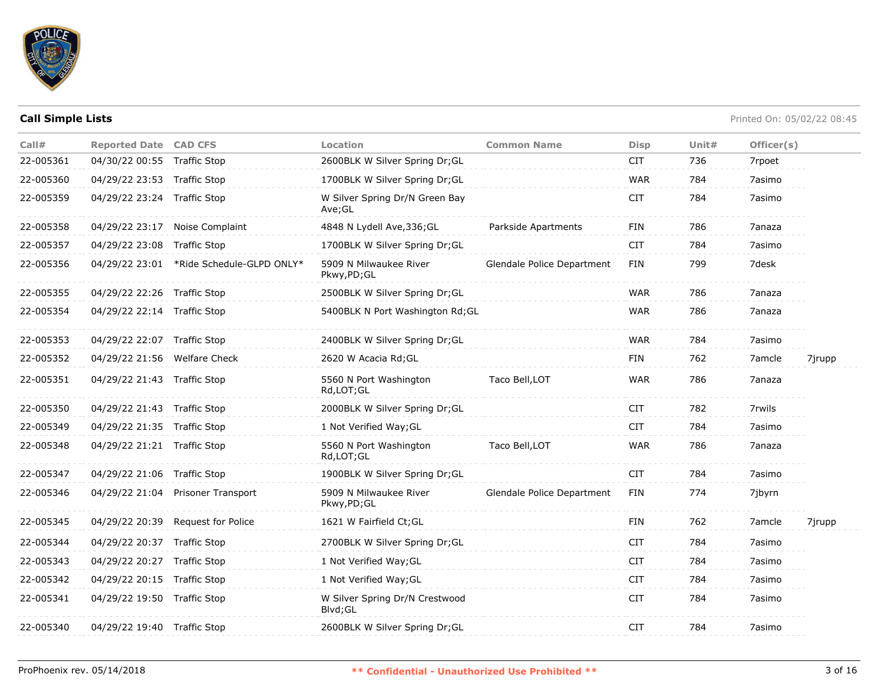

| Call#     | <b>Reported Date CAD CFS</b> |                                          | Location                                  | <b>Common Name</b>         | <b>Disp</b> | Unit# | Officer(s) |        |
|-----------|------------------------------|------------------------------------------|-------------------------------------------|----------------------------|-------------|-------|------------|--------|
| 22-005361 | 04/30/22 00:55 Traffic Stop  |                                          | 2600BLK W Silver Spring Dr;GL             |                            | <b>CIT</b>  | 736   | 7rpoet     |        |
| 22-005360 | 04/29/22 23:53 Traffic Stop  |                                          | 1700BLK W Silver Spring Dr;GL             |                            | <b>WAR</b>  | 784   | 7asimo     |        |
| 22-005359 | 04/29/22 23:24 Traffic Stop  |                                          | W Silver Spring Dr/N Green Bay<br>Ave;GL  |                            | <b>CIT</b>  | 784   | 7asimo     |        |
| 22-005358 |                              | 04/29/22 23:17 Noise Complaint           | 4848 N Lydell Ave, 336; GL                | Parkside Apartments        | FIN         | 786   | 7anaza     |        |
| 22-005357 | 04/29/22 23:08 Traffic Stop  |                                          | 1700BLK W Silver Spring Dr; GL            |                            | <b>CIT</b>  | 784   | 7asimo     |        |
| 22-005356 |                              | 04/29/22 23:01 *Ride Schedule-GLPD ONLY* | 5909 N Milwaukee River<br>Pkwy,PD;GL      | Glendale Police Department | <b>FIN</b>  | 799   | 7desk      |        |
| 22-005355 | 04/29/22 22:26 Traffic Stop  |                                          | 2500BLK W Silver Spring Dr; GL            |                            | <b>WAR</b>  | 786   | 7anaza     |        |
| 22-005354 | 04/29/22 22:14 Traffic Stop  |                                          | 5400BLK N Port Washington Rd; GL          |                            | <b>WAR</b>  | 786   | 7anaza     |        |
| 22-005353 | 04/29/22 22:07 Traffic Stop  |                                          | 2400BLK W Silver Spring Dr; GL            |                            | <b>WAR</b>  | 784   | 7asimo     |        |
| 22-005352 | 04/29/22 21:56 Welfare Check |                                          | 2620 W Acacia Rd; GL                      |                            | <b>FIN</b>  | 762   | 7amcle     | 7jrupp |
| 22-005351 | 04/29/22 21:43 Traffic Stop  |                                          | 5560 N Port Washington<br>Rd, LOT; GL     | Taco Bell, LOT             | <b>WAR</b>  | 786   | 7anaza     |        |
| 22-005350 | 04/29/22 21:43 Traffic Stop  |                                          | 2000BLK W Silver Spring Dr; GL            |                            | <b>CIT</b>  | 782   | 7rwils     |        |
| 22-005349 | 04/29/22 21:35 Traffic Stop  |                                          | 1 Not Verified Way; GL                    |                            | <b>CIT</b>  | 784   | 7asimo     |        |
| 22-005348 | 04/29/22 21:21 Traffic Stop  |                                          | 5560 N Port Washington<br>Rd,LOT;GL       | Taco Bell, LOT             | <b>WAR</b>  | 786   | 7anaza     |        |
| 22-005347 | 04/29/22 21:06 Traffic Stop  |                                          | 1900BLK W Silver Spring Dr;GL             |                            | <b>CIT</b>  | 784   | 7asimo     |        |
| 22-005346 |                              | 04/29/22 21:04 Prisoner Transport        | 5909 N Milwaukee River<br>Pkwy,PD;GL      | Glendale Police Department | FIN         | 774   | 7jbyrn     |        |
| 22-005345 |                              | 04/29/22 20:39 Request for Police        | 1621 W Fairfield Ct; GL                   |                            | FIN         | 762   | 7amcle     | 7jrupp |
| 22-005344 | 04/29/22 20:37 Traffic Stop  |                                          | 2700BLK W Silver Spring Dr; GL            |                            | <b>CIT</b>  | 784   | 7asimo     |        |
| 22-005343 | 04/29/22 20:27 Traffic Stop  |                                          | 1 Not Verified Way; GL                    |                            | <b>CIT</b>  | 784   | 7asimo     |        |
| 22-005342 | 04/29/22 20:15 Traffic Stop  |                                          | 1 Not Verified Way; GL                    |                            | <b>CIT</b>  | 784   | 7asimo     |        |
| 22-005341 | 04/29/22 19:50 Traffic Stop  |                                          | W Silver Spring Dr/N Crestwood<br>Blvd;GL |                            | <b>CIT</b>  | 784   | 7asimo     |        |
| 22-005340 | 04/29/22 19:40 Traffic Stop  |                                          | 2600BLK W Silver Spring Dr;GL             |                            | <b>CIT</b>  | 784   | 7asimo     |        |
|           |                              |                                          |                                           |                            |             |       |            |        |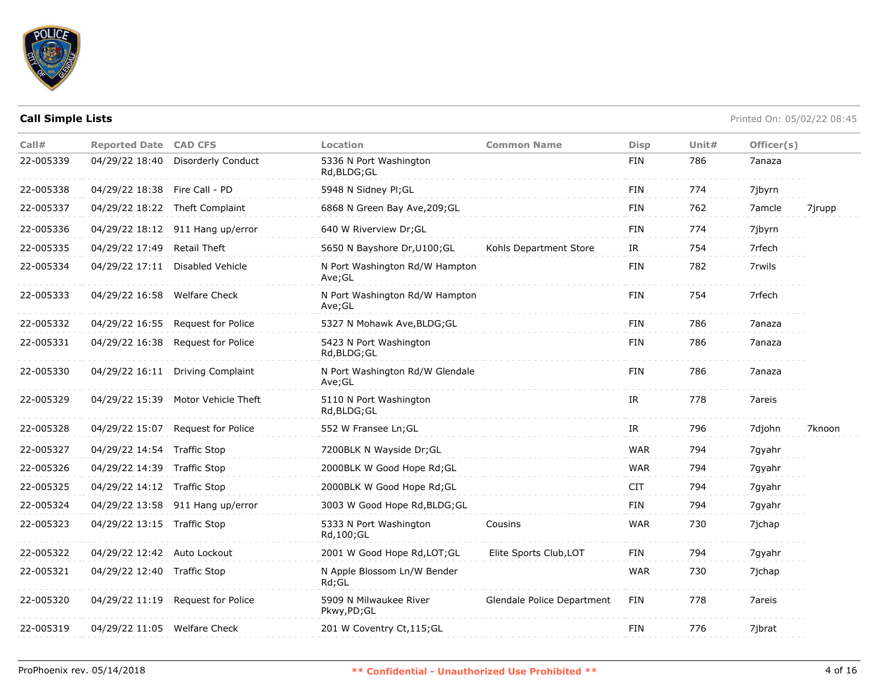

| Call#     | <b>Reported Date CAD CFS</b>  |                                    | Location                                  | <b>Common Name</b>         | <b>Disp</b> | Unit $#$ | Officer(s) |        |
|-----------|-------------------------------|------------------------------------|-------------------------------------------|----------------------------|-------------|----------|------------|--------|
| 22-005339 | 04/29/22 18:40                | Disorderly Conduct                 | 5336 N Port Washington<br>Rd,BLDG;GL      |                            | <b>FIN</b>  | 786      | 7anaza     |        |
| 22-005338 | 04/29/22 18:38 Fire Call - PD |                                    | 5948 N Sidney Pl;GL                       |                            | <b>FIN</b>  | 774      | 7jbyrn     |        |
| 22-005337 |                               | 04/29/22 18:22 Theft Complaint     | 6868 N Green Bay Ave, 209; GL             |                            | <b>FIN</b>  | 762      | 7amcle     | 7jrupp |
| 22-005336 |                               | 04/29/22 18:12 911 Hang up/error   | 640 W Riverview Dr; GL                    |                            | <b>FIN</b>  | 774      | 7jbyrn     |        |
| 22-005335 | 04/29/22 17:49                | <b>Retail Theft</b>                | 5650 N Bayshore Dr, U100; GL              | Kohls Department Store     | IR          | 754      | 7rfech     |        |
| 22-005334 | 04/29/22 17:11                | Disabled Vehicle                   | N Port Washington Rd/W Hampton<br>Ave;GL  |                            | <b>FIN</b>  | 782      | 7rwils     |        |
| 22-005333 | 04/29/22 16:58 Welfare Check  |                                    | N Port Washington Rd/W Hampton<br>Ave;GL  |                            | <b>FIN</b>  | 754      | 7rfech     |        |
| 22-005332 | 04/29/22 16:55                | Request for Police                 | 5327 N Mohawk Ave, BLDG; GL               |                            | <b>FIN</b>  | 786      | 7anaza     |        |
| 22-005331 | 04/29/22 16:38                | Request for Police                 | 5423 N Port Washington<br>Rd, BLDG; GL    |                            | <b>FIN</b>  | 786      | 7anaza     |        |
| 22-005330 |                               | 04/29/22 16:11 Driving Complaint   | N Port Washington Rd/W Glendale<br>Ave;GL |                            | <b>FIN</b>  | 786      | 7anaza     |        |
| 22-005329 |                               | 04/29/22 15:39 Motor Vehicle Theft | 5110 N Port Washington<br>Rd, BLDG; GL    |                            | IR.         | 778      | 7areis     |        |
| 22-005328 | 04/29/22 15:07                | Request for Police                 | 552 W Fransee Ln; GL                      |                            | IR          | 796      | 7djohn     | 7knoon |
| 22-005327 | 04/29/22 14:54 Traffic Stop   |                                    | 7200BLK N Wayside Dr; GL                  |                            | <b>WAR</b>  | 794      | 7gyahr     |        |
| 22-005326 | 04/29/22 14:39 Traffic Stop   |                                    | 2000BLK W Good Hope Rd; GL                |                            | <b>WAR</b>  | 794      | 7gyahr     |        |
| 22-005325 | 04/29/22 14:12 Traffic Stop   |                                    | 2000BLK W Good Hope Rd; GL                |                            | CIT         | 794      | 7gyahr     |        |
| 22-005324 |                               | 04/29/22 13:58 911 Hang up/error   | 3003 W Good Hope Rd, BLDG; GL             |                            | <b>FIN</b>  | 794      | 7gyahr     |        |
| 22-005323 | 04/29/22 13:15 Traffic Stop   |                                    | 5333 N Port Washington<br>Rd, 100; GL     | Cousins                    | <b>WAR</b>  | 730      | 7jchap     |        |
| 22-005322 | 04/29/22 12:42 Auto Lockout   |                                    | 2001 W Good Hope Rd, LOT; GL              | Elite Sports Club, LOT     | FIN         | 794      | 7gyahr     |        |
| 22-005321 | 04/29/22 12:40 Traffic Stop   |                                    | N Apple Blossom Ln/W Bender<br>Rd:GL      |                            | <b>WAR</b>  | 730      | 7ichap     |        |
| 22-005320 |                               | 04/29/22 11:19 Request for Police  | 5909 N Milwaukee River<br>Pkwy, PD; GL    | Glendale Police Department | FIN         | 778      | 7areis     |        |
| 22-005319 | 04/29/22 11:05 Welfare Check  |                                    | 201 W Coventry Ct, 115; GL                |                            | <b>FIN</b>  | 776      | 7jbrat     |        |
|           |                               |                                    |                                           |                            |             |          |            |        |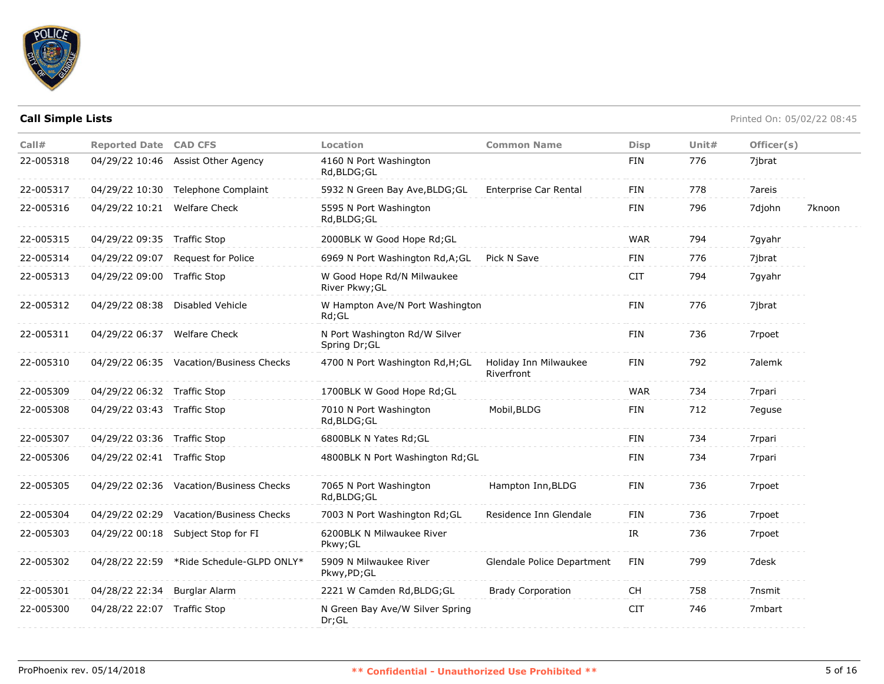

| Call#     | <b>Reported Date CAD CFS</b> |                                          | Location                                       | <b>Common Name</b>                  | <b>Disp</b> | Unit# | Officer(s) |        |
|-----------|------------------------------|------------------------------------------|------------------------------------------------|-------------------------------------|-------------|-------|------------|--------|
| 22-005318 | 04/29/22 10:46               | Assist Other Agency                      | 4160 N Port Washington<br>Rd, BLDG; GL         |                                     | <b>FIN</b>  | 776   | 7jbrat     |        |
| 22-005317 | 04/29/22 10:30               | Telephone Complaint                      | 5932 N Green Bay Ave, BLDG; GL                 | Enterprise Car Rental               | <b>FIN</b>  | 778   | 7areis     |        |
| 22-005316 | 04/29/22 10:21 Welfare Check |                                          | 5595 N Port Washington<br>Rd, BLDG; GL         |                                     | <b>FIN</b>  | 796   | 7djohn     | 7knoon |
| 22-005315 | 04/29/22 09:35 Traffic Stop  |                                          | 2000BLK W Good Hope Rd;GL                      |                                     | <b>WAR</b>  | 794   | 7gyahr     |        |
| 22-005314 |                              | 04/29/22 09:07 Request for Police        | 6969 N Port Washington Rd, A; GL               | Pick N Save                         | <b>FIN</b>  | 776   | 7jbrat     |        |
| 22-005313 | 04/29/22 09:00 Traffic Stop  |                                          | W Good Hope Rd/N Milwaukee<br>River Pkwy; GL   |                                     | <b>CIT</b>  | 794   | 7gyahr     |        |
| 22-005312 |                              | 04/29/22 08:38 Disabled Vehicle          | W Hampton Ave/N Port Washington<br>Rd;GL       |                                     | FIN         | 776   | 7jbrat     |        |
| 22-005311 | 04/29/22 06:37               | <b>Welfare Check</b>                     | N Port Washington Rd/W Silver<br>Spring Dr; GL |                                     | <b>FIN</b>  | 736   | 7rpoet     |        |
| 22-005310 |                              | 04/29/22 06:35 Vacation/Business Checks  | 4700 N Port Washington Rd, H; GL               | Holiday Inn Milwaukee<br>Riverfront | <b>FIN</b>  | 792   | 7alemk     |        |
| 22-005309 | 04/29/22 06:32 Traffic Stop  |                                          | 1700BLK W Good Hope Rd; GL                     |                                     | <b>WAR</b>  | 734   | 7rpari     |        |
| 22-005308 | 04/29/22 03:43 Traffic Stop  |                                          | 7010 N Port Washington<br>Rd, BLDG; GL         | Mobil, BLDG                         | <b>FIN</b>  | 712   | 7eguse     |        |
| 22-005307 | 04/29/22 03:36 Traffic Stop  |                                          | 6800BLK N Yates Rd; GL                         |                                     | <b>FIN</b>  | 734   | 7rpari     |        |
| 22-005306 | 04/29/22 02:41 Traffic Stop  |                                          | 4800BLK N Port Washington Rd; GL               |                                     | <b>FIN</b>  | 734   | 7rpari     |        |
| 22-005305 |                              | 04/29/22 02:36 Vacation/Business Checks  | 7065 N Port Washington<br>Rd, BLDG; GL         | Hampton Inn, BLDG                   | <b>FIN</b>  | 736   | 7rpoet     |        |
| 22-005304 | 04/29/22 02:29               | Vacation/Business Checks                 | 7003 N Port Washington Rd; GL                  | Residence Inn Glendale              | <b>FIN</b>  | 736   | 7rpoet     |        |
| 22-005303 | 04/29/22 00:18               | Subject Stop for FI                      | 6200BLK N Milwaukee River<br>Pkwy; GL          |                                     | IR.         | 736   | 7rpoet     |        |
| 22-005302 |                              | 04/28/22 22:59 *Ride Schedule-GLPD ONLY* | 5909 N Milwaukee River<br>Pkwy,PD;GL           | Glendale Police Department          | <b>FIN</b>  | 799   | 7desk      |        |
| 22-005301 | 04/28/22 22:34 Burglar Alarm |                                          | 2221 W Camden Rd, BLDG; GL                     | <b>Brady Corporation</b>            | CH.         | 758   | 7nsmit     |        |
| 22-005300 | 04/28/22 22:07 Traffic Stop  |                                          | N Green Bay Ave/W Silver Spring<br>Dr; GL      |                                     | <b>CIT</b>  | 746   | 7mbart     |        |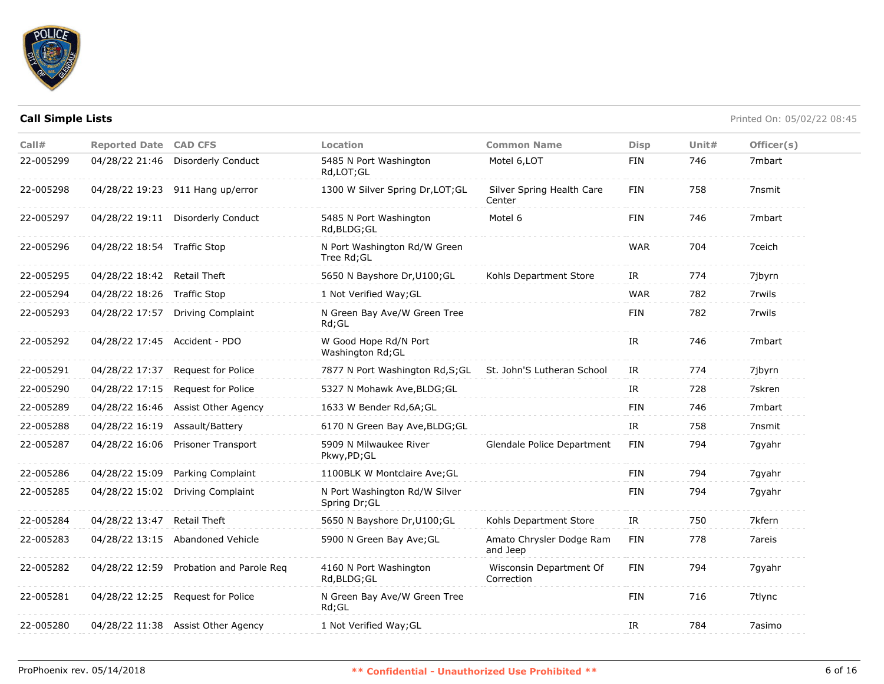

| Call#     | <b>Reported Date CAD CFS</b>  |                                         | Location                                       | <b>Common Name</b>                    | <b>Disp</b> | Unit $#$ | Officer(s) |
|-----------|-------------------------------|-----------------------------------------|------------------------------------------------|---------------------------------------|-------------|----------|------------|
| 22-005299 | 04/28/22 21:46                | <b>Disorderly Conduct</b>               | 5485 N Port Washington<br>Rd, LOT; GL          | Motel 6, LOT                          | FIN         | 746      | 7mbart     |
| 22-005298 |                               | 04/28/22 19:23 911 Hang up/error        | 1300 W Silver Spring Dr, LOT; GL               | Silver Spring Health Care<br>Center   | <b>FIN</b>  | 758      | 7nsmit     |
| 22-005297 |                               | 04/28/22 19:11 Disorderly Conduct       | 5485 N Port Washington<br>Rd, BLDG; GL         | Motel 6                               | <b>FIN</b>  | 746      | 7mbart     |
| 22-005296 | 04/28/22 18:54 Traffic Stop   |                                         | N Port Washington Rd/W Green<br>Tree Rd; GL    |                                       | <b>WAR</b>  | 704      | 7ceich     |
| 22-005295 | 04/28/22 18:42 Retail Theft   |                                         | 5650 N Bayshore Dr, U100; GL                   | Kohls Department Store                | IR          | 774      | 7jbyrn     |
| 22-005294 | 04/28/22 18:26 Traffic Stop   |                                         | 1 Not Verified Way; GL                         |                                       | <b>WAR</b>  | 782      | 7rwils     |
| 22-005293 |                               | 04/28/22 17:57 Driving Complaint        | N Green Bay Ave/W Green Tree<br>$Rd$ ; GL      |                                       | FIN         | 782      | 7rwils     |
| 22-005292 | 04/28/22 17:45 Accident - PDO |                                         | W Good Hope Rd/N Port<br>Washington Rd; GL     |                                       | IR          | 746      | 7mbart     |
| 22-005291 | 04/28/22 17:37                | Request for Police                      | 7877 N Port Washington Rd, S; GL               | St. John'S Lutheran School            | IR          | 774      | 7jbyrn     |
| 22-005290 | 04/28/22 17:15                | <b>Request for Police</b>               | 5327 N Mohawk Ave, BLDG; GL                    |                                       | <b>IR</b>   | 728      | 7skren     |
| 22-005289 | 04/28/22 16:46                | <b>Assist Other Agency</b>              | 1633 W Bender Rd, 6A; GL                       |                                       | <b>FIN</b>  | 746      | 7mbart     |
| 22-005288 | 04/28/22 16:19                | Assault/Battery                         | 6170 N Green Bay Ave, BLDG; GL                 |                                       | IR          | 758      | 7nsmit     |
| 22-005287 | 04/28/22 16:06                | <b>Prisoner Transport</b>               | 5909 N Milwaukee River<br>Pkwy,PD;GL           | Glendale Police Department            | FIN         | 794      | 7gyahr     |
| 22-005286 | 04/28/22 15:09                | Parking Complaint                       | 1100BLK W Montclaire Ave; GL                   |                                       | <b>FIN</b>  | 794      | 7gyahr     |
| 22-005285 |                               | 04/28/22 15:02 Driving Complaint        | N Port Washington Rd/W Silver<br>Spring Dr; GL |                                       | FIN         | 794      | 7gyahr     |
| 22-005284 | 04/28/22 13:47 Retail Theft   |                                         | 5650 N Bayshore Dr, U100; GL                   | Kohls Department Store                | IR          | 750      | 7kfern     |
| 22-005283 |                               | 04/28/22 13:15 Abandoned Vehicle        | 5900 N Green Bay Ave; GL                       | Amato Chrysler Dodge Ram<br>and Jeep  | <b>FIN</b>  | 778      | 7areis     |
| 22-005282 |                               | 04/28/22 12:59 Probation and Parole Reg | 4160 N Port Washington<br>Rd, BLDG; GL         | Wisconsin Department Of<br>Correction | <b>FIN</b>  | 794      | 7 qyahr    |
| 22-005281 |                               | 04/28/22 12:25 Request for Police       | N Green Bay Ave/W Green Tree<br>$Rd$ ; GL      |                                       | FIN         | 716      | 7tlync     |
| 22-005280 |                               | 04/28/22 11:38 Assist Other Agency      | 1 Not Verified Way; GL                         |                                       | IR          | 784      | 7asimo     |
|           |                               |                                         |                                                |                                       |             |          |            |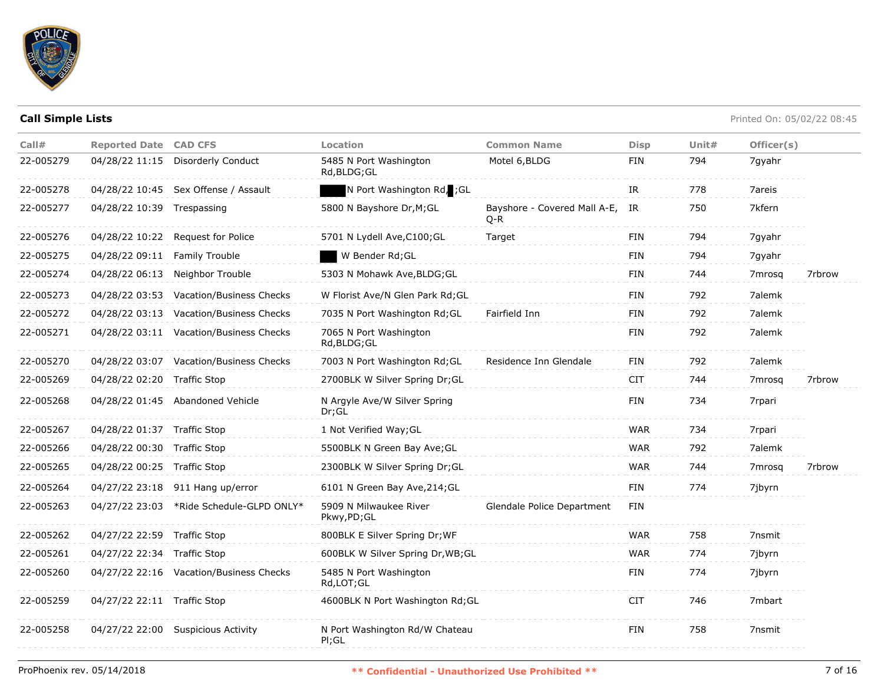

| Call#     | <b>Reported Date CAD CFS</b> |                                          | Location                                 | <b>Common Name</b>                    | <b>Disp</b> | Unit $#$ | Officer(s)         |        |
|-----------|------------------------------|------------------------------------------|------------------------------------------|---------------------------------------|-------------|----------|--------------------|--------|
| 22-005279 | 04/28/22 11:15               | Disorderly Conduct                       | 5485 N Port Washington<br>Rd, BLDG; GL   | Motel 6, BLDG                         | <b>FIN</b>  | 794      | 7qyahr             |        |
| 22-005278 |                              | 04/28/22 10:45 Sex Offense / Assault     | N Port Washington Rd, ; GL               |                                       | IR          | 778      | 7areis             |        |
| 22-005277 | 04/28/22 10:39 Trespassing   |                                          | 5800 N Bayshore Dr, M; GL                | Bayshore - Covered Mall A-E,<br>$Q-R$ | IR          | 750      | 7kfern             |        |
| 22-005276 | 04/28/22 10:22               | Request for Police                       | 5701 N Lydell Ave, C100; GL              | Target                                | FIN         | 794      | 7gyahr             |        |
| 22-005275 | 04/28/22 09:11               | <b>Family Trouble</b>                    | W Bender Rd; GL                          |                                       | <b>FIN</b>  | 794      | 7gyahr             |        |
| 22-005274 | 04/28/22 06:13               | Neighbor Trouble                         | 5303 N Mohawk Ave, BLDG; GL              |                                       | FIN         | 744      | 7 <sub>mrosq</sub> | 7rbrow |
| 22-005273 | 04/28/22 03:53               | Vacation/Business Checks                 | W Florist Ave/N Glen Park Rd; GL         |                                       | <b>FIN</b>  | 792      | 7alemk             |        |
| 22-005272 | 04/28/22 03:13               | Vacation/Business Checks                 | 7035 N Port Washington Rd; GL            | Fairfield Inn                         | FIN         | 792      | 7alemk             |        |
| 22-005271 |                              | 04/28/22 03:11 Vacation/Business Checks  | 7065 N Port Washington<br>Rd, BLDG; GL   |                                       | FIN         | 792      | 7alemk             |        |
| 22-005270 |                              | 04/28/22 03:07 Vacation/Business Checks  | 7003 N Port Washington Rd; GL            | Residence Inn Glendale                | FIN         | 792      | 7alemk             |        |
| 22-005269 | 04/28/22 02:20 Traffic Stop  |                                          | 2700BLK W Silver Spring Dr;GL            |                                       | <b>CIT</b>  | 744      | 7 <sub>mrosa</sub> | 7rbrow |
| 22-005268 |                              | 04/28/22 01:45 Abandoned Vehicle         | N Argyle Ave/W Silver Spring<br>Dr;GL    |                                       | <b>FIN</b>  | 734      | 7rpari             |        |
| 22-005267 | 04/28/22 01:37 Traffic Stop  |                                          | 1 Not Verified Way; GL                   |                                       | <b>WAR</b>  | 734      | 7rpari             |        |
| 22-005266 | 04/28/22 00:30               | <b>Traffic Stop</b>                      | 5500BLK N Green Bay Ave; GL              |                                       | <b>WAR</b>  | 792      | 7alemk             |        |
| 22-005265 | 04/28/22 00:25 Traffic Stop  |                                          | 2300BLK W Silver Spring Dr;GL            |                                       | WAR         | 744      | 7 <sub>mrosq</sub> | 7rbrow |
| 22-005264 |                              | 04/27/22 23:18 911 Hang up/error         | 6101 N Green Bay Ave, 214; GL            |                                       | <b>FIN</b>  | 774      | 7jbyrn             |        |
| 22-005263 |                              | 04/27/22 23:03 *Ride Schedule-GLPD ONLY* | 5909 N Milwaukee River<br>Pkwy, PD; GL   | Glendale Police Department            | <b>FIN</b>  |          |                    |        |
| 22-005262 | 04/27/22 22:59 Traffic Stop  |                                          | 800BLK E Silver Spring Dr; WF            |                                       | <b>WAR</b>  | 758      | 7nsmit             |        |
| 22-005261 | 04/27/22 22:34 Traffic Stop  |                                          | 600BLK W Silver Spring Dr, WB; GL        |                                       | <b>WAR</b>  | 774      | 7jbyrn             |        |
| 22-005260 |                              | 04/27/22 22:16 Vacation/Business Checks  | 5485 N Port Washington<br>Rd,LOT;GL      |                                       | FIN         | 774      | 7jbyrn             |        |
| 22-005259 | 04/27/22 22:11 Traffic Stop  |                                          | 4600BLK N Port Washington Rd; GL         |                                       | <b>CIT</b>  | 746      | 7mbart             |        |
| 22-005258 |                              | 04/27/22 22:00 Suspicious Activity       | N Port Washington Rd/W Chateau<br>PI; GL |                                       | <b>FIN</b>  | 758      | 7nsmit             |        |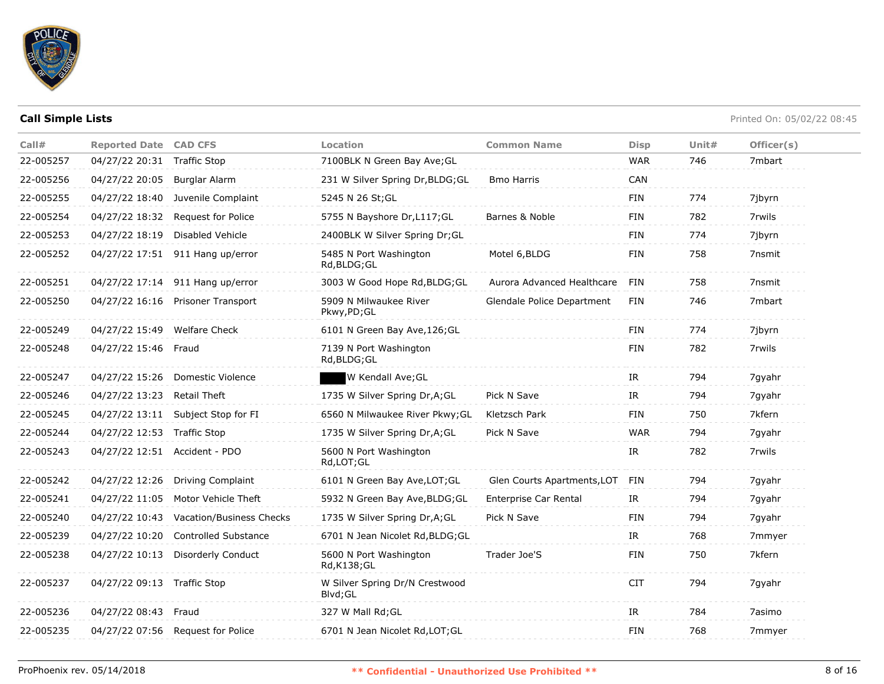

| Call#     | <b>Reported Date CAD CFS</b>  |                                    | Location                                   | <b>Common Name</b>          | <b>Disp</b> | Unit# | Officer(s) |
|-----------|-------------------------------|------------------------------------|--------------------------------------------|-----------------------------|-------------|-------|------------|
| 22-005257 | 04/27/22 20:31                | <b>Traffic Stop</b>                | 7100BLK N Green Bay Ave; GL                |                             | <b>WAR</b>  | 746   | 7mbart     |
| 22-005256 | 04/27/22 20:05                | Burglar Alarm                      | 231 W Silver Spring Dr, BLDG; GL           | <b>Bmo Harris</b>           | CAN         |       |            |
| 22-005255 | 04/27/22 18:40                | Juvenile Complaint                 | 5245 N 26 St; GL                           |                             | FIN         | 774   | 7jbyrn     |
| 22-005254 | 04/27/22 18:32                | <b>Request for Police</b>          | 5755 N Bayshore Dr, L117; GL               | Barnes & Noble              | <b>FIN</b>  | 782   | 7rwils     |
| 22-005253 | 04/27/22 18:19                | <b>Disabled Vehicle</b>            | 2400BLK W Silver Spring Dr; GL             |                             | FIN         | 774   | 7jbyrn     |
| 22-005252 |                               | 04/27/22 17:51 911 Hang up/error   | 5485 N Port Washington<br>Rd, BLDG; GL     | Motel 6, BLDG               | <b>FIN</b>  | 758   | 7nsmit     |
| 22-005251 |                               | 04/27/22 17:14 911 Hang up/error   | 3003 W Good Hope Rd, BLDG; GL              | Aurora Advanced Healthcare  | FIN         | 758   | 7nsmit     |
| 22-005250 | 04/27/22 16:16                | Prisoner Transport                 | 5909 N Milwaukee River<br>Pkwy,PD;GL       | Glendale Police Department  | FIN         | 746   | 7mbart     |
| 22-005249 | 04/27/22 15:49 Welfare Check  |                                    | 6101 N Green Bay Ave, 126; GL              |                             | FIN         | 774   | 7jbyrn     |
| 22-005248 | 04/27/22 15:46                | Fraud                              | 7139 N Port Washington<br>Rd, BLDG; GL     |                             | <b>FIN</b>  | 782   | 7rwils     |
| 22-005247 | 04/27/22 15:26                | Domestic Violence                  | W Kendall Ave; GL                          |                             | IR          | 794   | 7gyahr     |
| 22-005246 | 04/27/22 13:23                | <b>Retail Theft</b>                | 1735 W Silver Spring Dr, A; GL             | Pick N Save                 | IR          | 794   | 7gyahr     |
| 22-005245 |                               | 04/27/22 13:11 Subject Stop for FI | 6560 N Milwaukee River Pkwy; GL            | Kletzsch Park               | <b>FIN</b>  | 750   | 7kfern     |
| 22-005244 | 04/27/22 12:53                | Traffic Stop                       | 1735 W Silver Spring Dr, A; GL             | Pick N Save                 | <b>WAR</b>  | 794   | 7gyahr     |
| 22-005243 | 04/27/22 12:51 Accident - PDO |                                    | 5600 N Port Washington<br>Rd,LOT;GL        |                             | IR          | 782   | 7rwils     |
| 22-005242 | 04/27/22 12:26                | <b>Driving Complaint</b>           | 6101 N Green Bay Ave, LOT; GL              | Glen Courts Apartments, LOT | FIN         | 794   | 7gyahr     |
| 22-005241 | 04/27/22 11:05                | Motor Vehicle Theft                | 5932 N Green Bay Ave, BLDG; GL             | Enterprise Car Rental       | IR          | 794   | 7gyahr     |
| 22-005240 | 04/27/22 10:43                | Vacation/Business Checks           | 1735 W Silver Spring Dr, A; GL             | Pick N Save                 | FIN         | 794   | 7gyahr     |
| 22-005239 | 04/27/22 10:20                | <b>Controlled Substance</b>        | 6701 N Jean Nicolet Rd, BLDG; GL           |                             | IR          | 768   | 7mmyer     |
| 22-005238 | 04/27/22 10:13                | Disorderly Conduct                 | 5600 N Port Washington<br>Rd, K138; GL     | Trader Joe'S                | <b>FIN</b>  | 750   | 7kfern     |
| 22-005237 | 04/27/22 09:13 Traffic Stop   |                                    | W Silver Spring Dr/N Crestwood<br>Blvd; GL |                             | <b>CIT</b>  | 794   | 7gyahr     |
| 22-005236 | 04/27/22 08:43 Fraud          |                                    | 327 W Mall Rd; GL                          |                             | IR          | 784   | 7asimo     |
| 22-005235 | 04/27/22 07:56                | Request for Police                 | 6701 N Jean Nicolet Rd, LOT; GL            |                             | <b>FIN</b>  | 768   | 7mmyer     |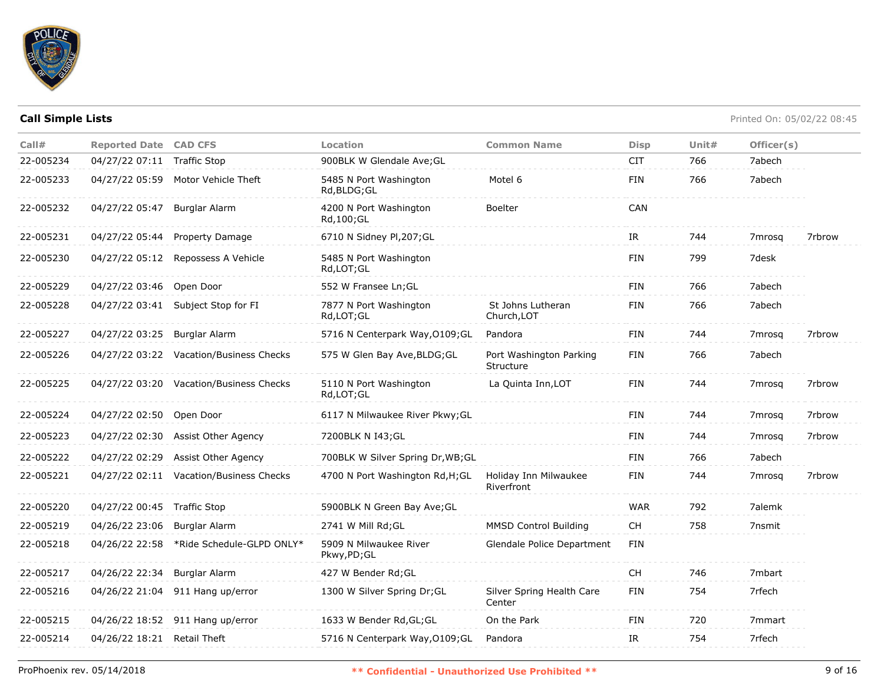

| Call#     | <b>Reported Date CAD CFS</b> |                                         | <b>Location</b>                        | <b>Common Name</b>                   | <b>Disp</b> | Unit# | Officer(s)         |        |
|-----------|------------------------------|-----------------------------------------|----------------------------------------|--------------------------------------|-------------|-------|--------------------|--------|
| 22-005234 | 04/27/22 07:11 Traffic Stop  |                                         | 900BLK W Glendale Ave; GL              |                                      | <b>CIT</b>  | 766   | 7abech             |        |
| 22-005233 |                              | 04/27/22 05:59 Motor Vehicle Theft      | 5485 N Port Washington<br>Rd, BLDG; GL | Motel 6                              | <b>FIN</b>  | 766   | 7abech             |        |
| 22-005232 | 04/27/22 05:47 Burglar Alarm |                                         | 4200 N Port Washington<br>Rd, 100; GL  | Boelter                              | CAN         |       |                    |        |
| 22-005231 |                              | 04/27/22 05:44 Property Damage          | 6710 N Sidney Pl, 207; GL              |                                      | IR          | 744   | 7 <sub>mrosa</sub> | 7rbrow |
| 22-005230 | 04/27/22 05:12               | Repossess A Vehicle                     | 5485 N Port Washington<br>Rd,LOT;GL    |                                      | <b>FIN</b>  | 799   | 7desk              |        |
| 22-005229 | 04/27/22 03:46 Open Door     |                                         | 552 W Fransee Ln; GL                   |                                      | <b>FIN</b>  | 766   | 7abech             |        |
| 22-005228 | 04/27/22 03:41               | Subject Stop for FI                     | 7877 N Port Washington<br>Rd,LOT;GL    | St Johns Lutheran<br>Church, LOT     | <b>FIN</b>  | 766   | 7abech             |        |
| 22-005227 | 04/27/22 03:25 Burglar Alarm |                                         | 5716 N Centerpark Way, O109; GL        | Pandora                              | <b>FIN</b>  | 744   | 7mrosa             | 7rbrow |
| 22-005226 |                              | 04/27/22 03:22 Vacation/Business Checks | 575 W Glen Bay Ave, BLDG; GL           | Port Washington Parking<br>Structure | <b>FIN</b>  | 766   | 7abech             |        |
| 22-005225 |                              | 04/27/22 03:20 Vacation/Business Checks | 5110 N Port Washington<br>Rd,LOT;GL    | La Quinta Inn, LOT                   | <b>FIN</b>  | 744   | 7mrosa             | 7rbrow |
| 22-005224 | 04/27/22 02:50               | Open Door                               | 6117 N Milwaukee River Pkwy; GL        |                                      | <b>FIN</b>  | 744   | 7 <sub>mrosq</sub> | 7rbrow |
| 22-005223 | 04/27/22 02:30               | Assist Other Agency                     | 7200BLK N I43; GL                      |                                      | <b>FIN</b>  | 744   | 7mrosq             | 7rbrow |
| 22-005222 | 04/27/22 02:29               | Assist Other Agency                     | 700BLK W Silver Spring Dr, WB; GL      |                                      | <b>FIN</b>  | 766   | 7abech             |        |
| 22-005221 |                              | 04/27/22 02:11 Vacation/Business Checks | 4700 N Port Washington Rd, H; GL       | Holiday Inn Milwaukee<br>Riverfront  | <b>FIN</b>  | 744   | 7mrosa             | 7rbrow |
| 22-005220 | 04/27/22 00:45 Traffic Stop  |                                         | 5900BLK N Green Bay Ave; GL            |                                      | <b>WAR</b>  | 792   | 7alemk             |        |
| 22-005219 | 04/26/22 23:06               | <b>Burglar Alarm</b>                    | 2741 W Mill Rd; GL                     | <b>MMSD Control Building</b>         | <b>CH</b>   | 758   | 7nsmit             |        |
| 22-005218 | 04/26/22 22:58               | *Ride Schedule-GLPD ONLY*               | 5909 N Milwaukee River<br>Pkwy,PD;GL   | Glendale Police Department           | <b>FIN</b>  |       |                    |        |
| 22-005217 | 04/26/22 22:34               | Burglar Alarm                           | 427 W Bender Rd; GL                    |                                      | <b>CH</b>   | 746   | 7mbart             |        |
| 22-005216 | 04/26/22 21:04               | 911 Hang up/error                       | 1300 W Silver Spring Dr;GL             | Silver Spring Health Care<br>Center  | <b>FIN</b>  | 754   | 7rfech             |        |
| 22-005215 |                              | 04/26/22 18:52 911 Hang up/error        | 1633 W Bender Rd, GL; GL               | On the Park                          | <b>FIN</b>  | 720   | 7 <sub>mmart</sub> |        |
| 22-005214 | 04/26/22 18:21 Retail Theft  |                                         | 5716 N Centerpark Way, 0109; GL        | Pandora                              | IR          | 754   | 7rfech             |        |
|           |                              |                                         |                                        |                                      |             |       |                    |        |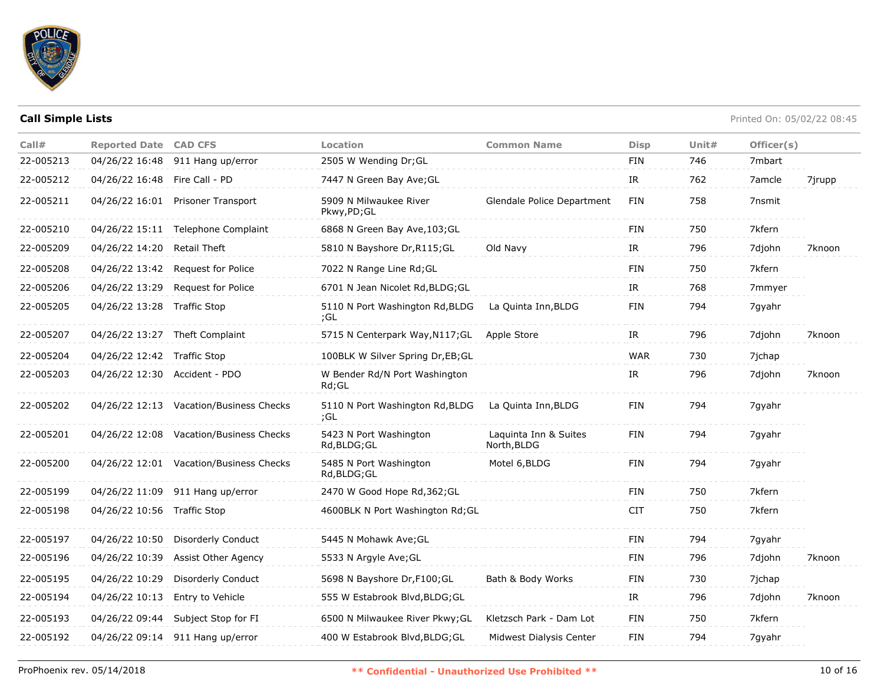

| Call#     | <b>Reported Date CAD CFS</b>  |                                         | Location                               | <b>Common Name</b>                   | <b>Disp</b> | Unit# | Officer(s) |        |
|-----------|-------------------------------|-----------------------------------------|----------------------------------------|--------------------------------------|-------------|-------|------------|--------|
| 22-005213 |                               | 04/26/22 16:48 911 Hang up/error        | 2505 W Wending Dr; GL                  |                                      | FIN         | 746   | 7mbart     |        |
| 22-005212 | 04/26/22 16:48 Fire Call - PD |                                         | 7447 N Green Bay Ave;GL                |                                      | IR          | 762   | 7amcle     | 7jrupp |
| 22-005211 |                               | 04/26/22 16:01 Prisoner Transport       | 5909 N Milwaukee River<br>Pkwy,PD;GL   | Glendale Police Department           | FIN         | 758   | 7nsmit     |        |
| 22-005210 |                               | 04/26/22 15:11 Telephone Complaint      | 6868 N Green Bay Ave, 103; GL          |                                      | FIN         | 750   | 7kfern     |        |
| 22-005209 | 04/26/22 14:20                | Retail Theft                            | 5810 N Bayshore Dr, R115; GL           | Old Navy                             | IR          | 796   | 7djohn     | 7knoon |
| 22-005208 | 04/26/22 13:42                | Request for Police                      | 7022 N Range Line Rd; GL               |                                      | FIN         | 750   | 7kfern     |        |
| 22-005206 | 04/26/22 13:29                | <b>Request for Police</b>               | 6701 N Jean Nicolet Rd, BLDG; GL       |                                      | IR          | 768   | 7mmyer     |        |
| 22-005205 | 04/26/22 13:28 Traffic Stop   |                                         | 5110 N Port Washington Rd, BLDG<br>;GL | La Quinta Inn, BLDG                  | FIN         | 794   | 7gyahr     |        |
| 22-005207 |                               | 04/26/22 13:27 Theft Complaint          | 5715 N Centerpark Way, N117; GL        | Apple Store                          | IR          | 796   | 7djohn     | 7knoon |
| 22-005204 | 04/26/22 12:42 Traffic Stop   |                                         | 100BLK W Silver Spring Dr, EB; GL      |                                      | <b>WAR</b>  | 730   | 7jchap     |        |
| 22-005203 |                               | 04/26/22 12:30 Accident - PDO           | W Bender Rd/N Port Washington<br>Rd;GL |                                      | IR          | 796   | 7djohn     | 7knoon |
| 22-005202 |                               | 04/26/22 12:13 Vacation/Business Checks | 5110 N Port Washington Rd, BLDG<br>;GL | La Quinta Inn, BLDG                  | FIN         | 794   | 7qyahr     |        |
| 22-005201 |                               | 04/26/22 12:08 Vacation/Business Checks | 5423 N Port Washington<br>Rd, BLDG; GL | Laquinta Inn & Suites<br>North, BLDG | FIN         | 794   | 7gyahr     |        |
| 22-005200 |                               | 04/26/22 12:01 Vacation/Business Checks | 5485 N Port Washington<br>Rd,BLDG;GL   | Motel 6, BLDG                        | FIN         | 794   | 7gyahr     |        |
| 22-005199 |                               | 04/26/22 11:09 911 Hang up/error        | 2470 W Good Hope Rd, 362; GL           |                                      | FIN         | 750   | 7kfern     |        |
| 22-005198 | 04/26/22 10:56 Traffic Stop   |                                         | 4600BLK N Port Washington Rd; GL       |                                      | <b>CIT</b>  | 750   | 7kfern     |        |
| 22-005197 | 04/26/22 10:50                | <b>Disorderly Conduct</b>               | 5445 N Mohawk Ave; GL                  |                                      | FIN         | 794   | 7qyahr     |        |
| 22-005196 | 04/26/22 10:39                | Assist Other Agency                     | 5533 N Argyle Ave; GL                  |                                      | FIN         | 796   | 7djohn     | 7knoon |
| 22-005195 | 04/26/22 10:29                | Disorderly Conduct                      | 5698 N Bayshore Dr, F100; GL           | Bath & Body Works                    | FIN         | 730   | 7jchap     |        |
| 22-005194 | 04/26/22 10:13                | Entry to Vehicle                        | 555 W Estabrook Blvd, BLDG; GL         |                                      | IR          | 796   | 7djohn     | 7knoon |
| 22-005193 | 04/26/22 09:44                | Subject Stop for FI                     | 6500 N Milwaukee River Pkwy; GL        | Kletzsch Park - Dam Lot              | FIN         | 750   | 7kfern     |        |
| 22-005192 | 04/26/22 09:14                | 911 Hang up/error                       | 400 W Estabrook Blvd, BLDG; GL         | Midwest Dialysis Center              | FIN         | 794   | 7gyahr     |        |
|           |                               |                                         |                                        |                                      |             |       |            |        |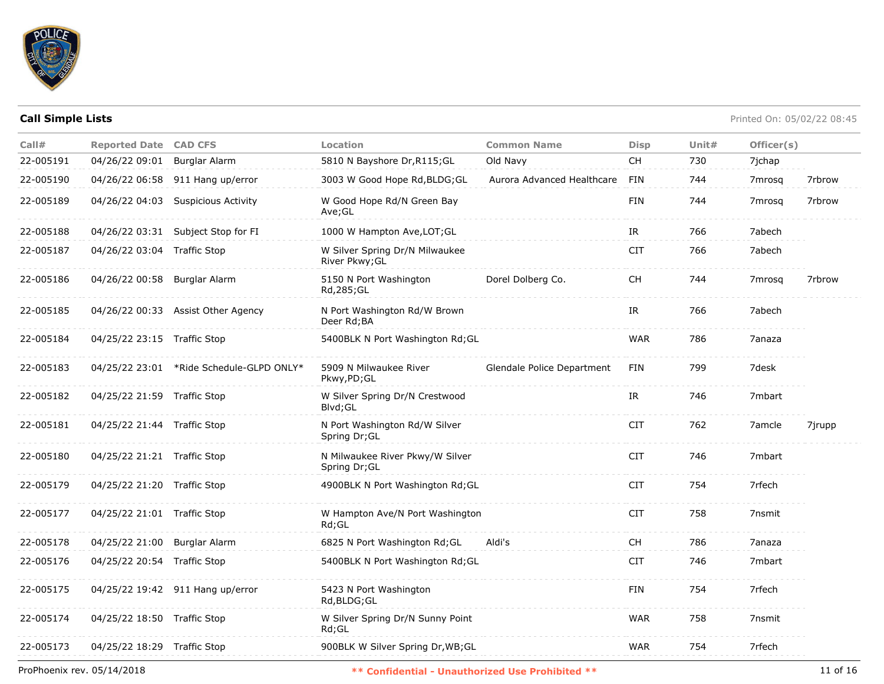

| Call#     | <b>Reported Date CAD CFS</b> |                                          | Location                                         | <b>Common Name</b>         | <b>Disp</b> | Unit# | Officer(s)         |        |
|-----------|------------------------------|------------------------------------------|--------------------------------------------------|----------------------------|-------------|-------|--------------------|--------|
| 22-005191 | 04/26/22 09:01               | <b>Burglar Alarm</b>                     | 5810 N Bayshore Dr, R115; GL                     | Old Navy                   | <b>CH</b>   | 730   | 7jchap             |        |
| 22-005190 |                              | 04/26/22 06:58 911 Hang up/error         | 3003 W Good Hope Rd, BLDG; GL                    | Aurora Advanced Healthcare | FIN         | 744   | 7 <sub>mrosq</sub> | 7rbrow |
| 22-005189 |                              | 04/26/22 04:03 Suspicious Activity       | W Good Hope Rd/N Green Bay<br>Ave;GL             |                            | <b>FIN</b>  | 744   | 7mrosa             | 7rbrow |
| 22-005188 |                              | 04/26/22 03:31 Subject Stop for FI       | 1000 W Hampton Ave, LOT; GL                      |                            | IR          | 766   | 7abech             |        |
| 22-005187 | 04/26/22 03:04 Traffic Stop  |                                          | W Silver Spring Dr/N Milwaukee<br>River Pkwy; GL |                            | <b>CIT</b>  | 766   | 7abech             |        |
| 22-005186 | 04/26/22 00:58 Burglar Alarm |                                          | 5150 N Port Washington<br>Rd, 285; GL            | Dorel Dolberg Co.          | <b>CH</b>   | 744   | 7 <sub>mrosq</sub> | 7rbrow |
| 22-005185 |                              | 04/26/22 00:33 Assist Other Agency       | N Port Washington Rd/W Brown<br>Deer Rd;BA       |                            | IR          | 766   | 7abech             |        |
| 22-005184 | 04/25/22 23:15 Traffic Stop  |                                          | 5400BLK N Port Washington Rd; GL                 |                            | <b>WAR</b>  | 786   | 7anaza             |        |
| 22-005183 |                              | 04/25/22 23:01 *Ride Schedule-GLPD ONLY* | 5909 N Milwaukee River<br>Pkwy,PD;GL             | Glendale Police Department | FIN         | 799   | 7desk              |        |
| 22-005182 | 04/25/22 21:59 Traffic Stop  |                                          | W Silver Spring Dr/N Crestwood<br>Blvd; GL       |                            | IR.         | 746   | 7mbart             |        |
| 22-005181 | 04/25/22 21:44 Traffic Stop  |                                          | N Port Washington Rd/W Silver<br>Spring Dr; GL   |                            | <b>CIT</b>  | 762   | 7amcle             | 7jrupp |
| 22-005180 | 04/25/22 21:21 Traffic Stop  |                                          | N Milwaukee River Pkwy/W Silver<br>Spring Dr; GL |                            | <b>CIT</b>  | 746   | 7mbart             |        |
| 22-005179 | 04/25/22 21:20 Traffic Stop  |                                          | 4900BLK N Port Washington Rd; GL                 |                            | <b>CIT</b>  | 754   | 7rfech             |        |
| 22-005177 | 04/25/22 21:01 Traffic Stop  |                                          | W Hampton Ave/N Port Washington<br>$Rd$ ; GL     |                            | <b>CIT</b>  | 758   | 7nsmit             |        |
| 22-005178 | 04/25/22 21:00 Burglar Alarm |                                          | 6825 N Port Washington Rd; GL                    | Aldi's                     | <b>CH</b>   | 786   | 7anaza             |        |
| 22-005176 | 04/25/22 20:54 Traffic Stop  |                                          | 5400BLK N Port Washington Rd; GL                 |                            | <b>CIT</b>  | 746   | 7mbart             |        |
| 22-005175 |                              | 04/25/22 19:42 911 Hang up/error         | 5423 N Port Washington<br>Rd, BLDG; GL           |                            | <b>FIN</b>  | 754   | 7rfech             |        |
| 22-005174 | 04/25/22 18:50 Traffic Stop  |                                          | W Silver Spring Dr/N Sunny Point<br>$Rd$ ; GL    |                            | <b>WAR</b>  | 758   | 7nsmit             |        |
| 22-005173 | 04/25/22 18:29 Traffic Stop  |                                          | 900BLK W Silver Spring Dr, WB; GL                |                            | <b>WAR</b>  | 754   | 7rfech             |        |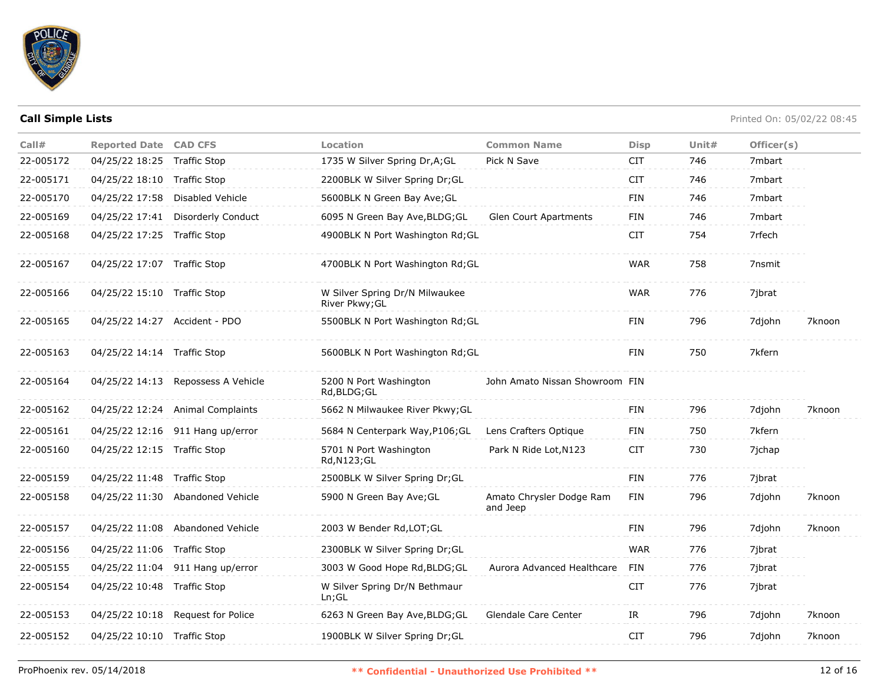

| Call#     | <b>Reported Date CAD CFS</b>  |                                    | Location                                         | <b>Common Name</b>                   | <b>Disp</b> | Unit $#$ | Officer(s) |        |
|-----------|-------------------------------|------------------------------------|--------------------------------------------------|--------------------------------------|-------------|----------|------------|--------|
| 22-005172 | 04/25/22 18:25 Traffic Stop   |                                    | 1735 W Silver Spring Dr, A; GL                   | Pick N Save                          | <b>CIT</b>  | 746      | 7mbart     |        |
| 22-005171 | 04/25/22 18:10 Traffic Stop   |                                    | 2200BLK W Silver Spring Dr;GL                    |                                      | <b>CIT</b>  | 746      | 7mbart     |        |
| 22-005170 | 04/25/22 17:58                | Disabled Vehicle                   | 5600BLK N Green Bay Ave; GL                      |                                      | <b>FIN</b>  | 746      | 7mbart     |        |
| 22-005169 | 04/25/22 17:41                | Disorderly Conduct                 | 6095 N Green Bay Ave, BLDG; GL                   | <b>Glen Court Apartments</b>         | <b>FIN</b>  | 746      | 7mbart     |        |
| 22-005168 | 04/25/22 17:25 Traffic Stop   |                                    | 4900BLK N Port Washington Rd; GL                 |                                      | <b>CIT</b>  | 754      | 7rfech     |        |
| 22-005167 | 04/25/22 17:07 Traffic Stop   |                                    | 4700BLK N Port Washington Rd; GL                 |                                      | <b>WAR</b>  | 758      | 7nsmit     |        |
| 22-005166 | 04/25/22 15:10 Traffic Stop   |                                    | W Silver Spring Dr/N Milwaukee<br>River Pkwy; GL |                                      | <b>WAR</b>  | 776      | 7ibrat     |        |
| 22-005165 | 04/25/22 14:27 Accident - PDO |                                    | 5500BLK N Port Washington Rd; GL                 |                                      | FIN         | 796      | 7djohn     | 7knoon |
| 22-005163 | 04/25/22 14:14 Traffic Stop   |                                    | 5600BLK N Port Washington Rd; GL                 |                                      | <b>FIN</b>  | 750      | 7kfern     |        |
| 22-005164 |                               | 04/25/22 14:13 Repossess A Vehicle | 5200 N Port Washington<br>Rd, BLDG; GL           | John Amato Nissan Showroom FIN       |             |          |            |        |
| 22-005162 |                               | 04/25/22 12:24 Animal Complaints   | 5662 N Milwaukee River Pkwy; GL                  |                                      | <b>FIN</b>  | 796      | 7djohn     | 7knoon |
| 22-005161 |                               | 04/25/22 12:16 911 Hang up/error   | 5684 N Centerpark Way, P106; GL                  | Lens Crafters Optique                | <b>FIN</b>  | 750      | 7kfern     |        |
| 22-005160 | 04/25/22 12:15 Traffic Stop   |                                    | 5701 N Port Washington<br>Rd, N123; GL           | Park N Ride Lot, N123                | <b>CIT</b>  | 730      | 7ichap     |        |
| 22-005159 | 04/25/22 11:48 Traffic Stop   |                                    | 2500BLK W Silver Spring Dr; GL                   |                                      | FIN         | 776      | 7jbrat     |        |
| 22-005158 |                               | 04/25/22 11:30 Abandoned Vehicle   | 5900 N Green Bay Ave; GL                         | Amato Chrysler Dodge Ram<br>and Jeep | <b>FIN</b>  | 796      | 7djohn     | 7knoon |
| 22-005157 |                               | 04/25/22 11:08 Abandoned Vehicle   | 2003 W Bender Rd, LOT; GL                        |                                      | <b>FIN</b>  | 796      | 7djohn     | 7knoon |
| 22-005156 | 04/25/22 11:06 Traffic Stop   |                                    | 2300BLK W Silver Spring Dr;GL                    |                                      | <b>WAR</b>  | 776      | 7jbrat     |        |
| 22-005155 |                               | 04/25/22 11:04 911 Hang up/error   | 3003 W Good Hope Rd, BLDG; GL                    | Aurora Advanced Healthcare           | FIN         | 776      | 7jbrat     |        |
| 22-005154 | 04/25/22 10:48 Traffic Stop   |                                    | W Silver Spring Dr/N Bethmaur<br>Ln; GL          |                                      | <b>CIT</b>  | 776      | 7jbrat     |        |
| 22-005153 |                               | 04/25/22 10:18 Request for Police  | 6263 N Green Bay Ave, BLDG; GL                   | Glendale Care Center                 | IR          | 796      | 7djohn     | 7knoon |
| 22-005152 | 04/25/22 10:10 Traffic Stop   |                                    | 1900BLK W Silver Spring Dr; GL                   |                                      | <b>CIT</b>  | 796      | 7djohn     | 7knoon |
|           |                               |                                    |                                                  |                                      |             |          |            |        |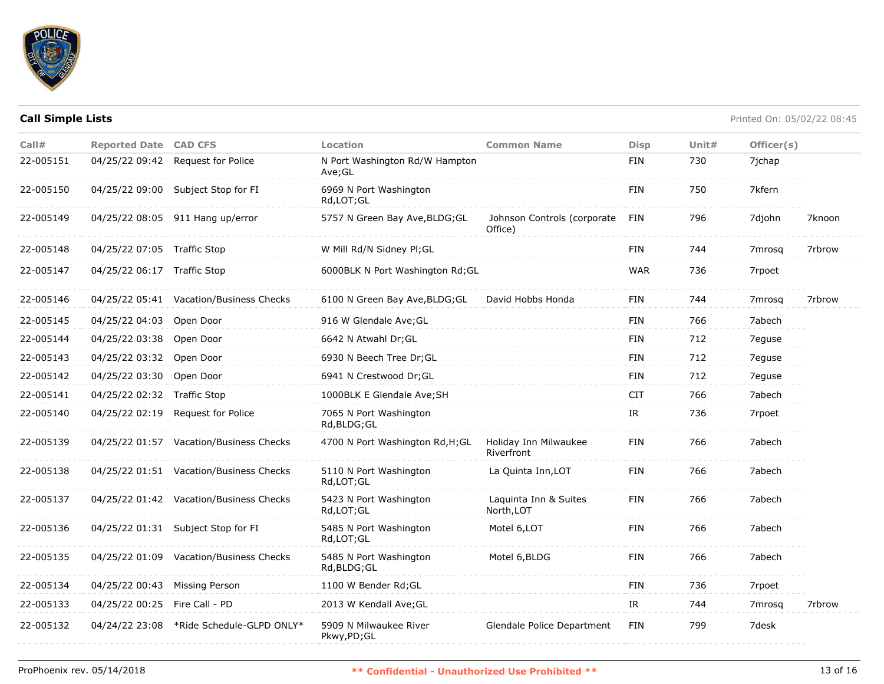

| Call#     | <b>Reported Date CAD CFS</b>  |                                          | Location                                 | <b>Common Name</b>                     | <b>Disp</b> | Unit $#$ | Officer(s) |        |
|-----------|-------------------------------|------------------------------------------|------------------------------------------|----------------------------------------|-------------|----------|------------|--------|
| 22-005151 | 04/25/22 09:42                | <b>Request for Police</b>                | N Port Washington Rd/W Hampton<br>Ave;GL |                                        | <b>FIN</b>  | 730      | 7ichap     |        |
| 22-005150 |                               | 04/25/22 09:00 Subject Stop for FI       | 6969 N Port Washington<br>Rd,LOT;GL      |                                        | <b>FIN</b>  | 750      | 7kfern     |        |
| 22-005149 |                               | 04/25/22 08:05 911 Hang up/error         | 5757 N Green Bay Ave, BLDG; GL           | Johnson Controls (corporate<br>Office) | FIN         | 796      | 7djohn     | 7knoon |
| 22-005148 | 04/25/22 07:05 Traffic Stop   |                                          | W Mill Rd/N Sidney Pl;GL                 |                                        | <b>FIN</b>  | 744      | 7mrosg     | 7rbrow |
| 22-005147 | 04/25/22 06:17 Traffic Stop   |                                          | 6000BLK N Port Washington Rd; GL         |                                        | <b>WAR</b>  | 736      | 7rpoet     |        |
| 22-005146 |                               | 04/25/22 05:41 Vacation/Business Checks  | 6100 N Green Bay Ave, BLDG; GL           | David Hobbs Honda                      | FIN         | 744      | 7mrosq     | 7rbrow |
| 22-005145 | 04/25/22 04:03                | Open Door                                | 916 W Glendale Ave; GL                   |                                        | <b>FIN</b>  | 766      | 7abech     |        |
| 22-005144 | 04/25/22 03:38                | Open Door                                | 6642 N Atwahl Dr; GL                     |                                        | <b>FIN</b>  | 712      | 7eguse     |        |
| 22-005143 | 04/25/22 03:32 Open Door      |                                          | 6930 N Beech Tree Dr; GL                 |                                        | <b>FIN</b>  | 712      | 7eguse     |        |
| 22-005142 | 04/25/22 03:30                | Open Door                                | 6941 N Crestwood Dr; GL                  |                                        | <b>FIN</b>  | 712      | 7eguse     |        |
| 22-005141 | 04/25/22 02:32 Traffic Stop   |                                          | 1000BLK E Glendale Ave; SH               |                                        | <b>CIT</b>  | 766      | 7abech     |        |
| 22-005140 | 04/25/22 02:19                | Request for Police                       | 7065 N Port Washington<br>Rd, BLDG; GL   |                                        | IR          | 736      | 7rpoet     |        |
| 22-005139 |                               | 04/25/22 01:57 Vacation/Business Checks  | 4700 N Port Washington Rd, H; GL         | Holiday Inn Milwaukee<br>Riverfront    | FIN         | 766      | 7abech     |        |
| 22-005138 |                               | 04/25/22 01:51 Vacation/Business Checks  | 5110 N Port Washington<br>Rd,LOT;GL      | La Quinta Inn, LOT                     | <b>FIN</b>  | 766      | 7abech     |        |
| 22-005137 |                               | 04/25/22 01:42 Vacation/Business Checks  | 5423 N Port Washington<br>Rd,LOT;GL      | Laquinta Inn & Suites<br>North, LOT    | <b>FIN</b>  | 766      | 7abech     |        |
| 22-005136 |                               | 04/25/22 01:31 Subject Stop for FI       | 5485 N Port Washington<br>Rd,LOT;GL      | Motel 6, LOT                           | <b>FIN</b>  | 766      | 7abech     |        |
| 22-005135 |                               | 04/25/22 01:09 Vacation/Business Checks  | 5485 N Port Washington<br>Rd, BLDG; GL   | Motel 6, BLDG                          | <b>FIN</b>  | 766      | 7abech     |        |
| 22-005134 | 04/25/22 00:43 Missing Person |                                          | 1100 W Bender Rd; GL                     |                                        | <b>FIN</b>  | 736      | 7rpoet     |        |
| 22-005133 | 04/25/22 00:25 Fire Call - PD |                                          | 2013 W Kendall Ave; GL                   |                                        | IR          | 744      | 7mrosq     | 7rbrow |
| 22-005132 |                               | 04/24/22 23:08 *Ride Schedule-GLPD ONLY* | 5909 N Milwaukee River<br>Pkwy,PD;GL     | Glendale Police Department             | <b>FIN</b>  | 799      | 7desk      |        |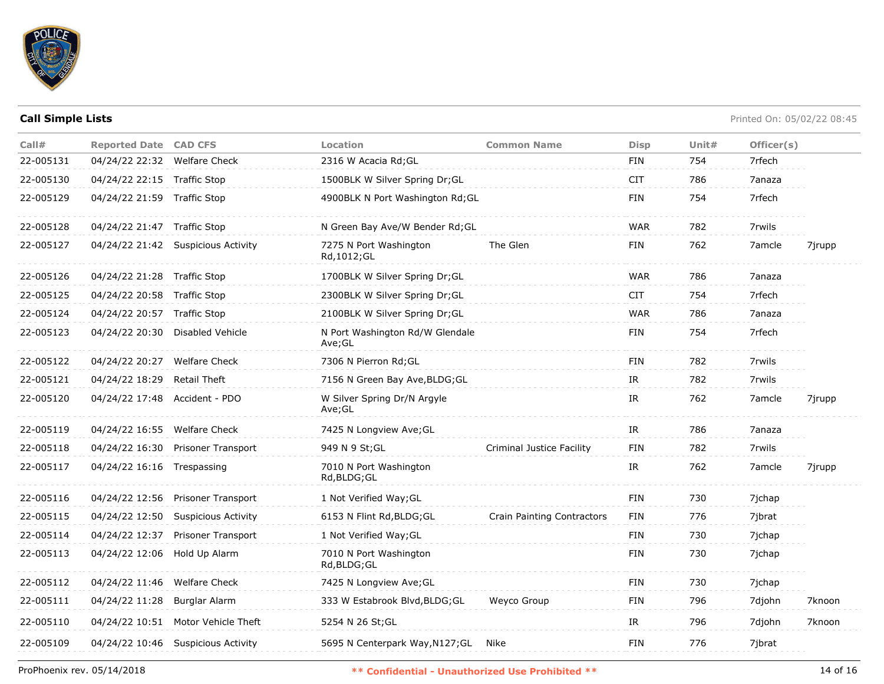

| Call#     | <b>Reported Date CAD CFS</b> |                                    | Location                                  | <b>Common Name</b>         | <b>Disp</b>                       | Unit $#$ | Officer(s) |        |
|-----------|------------------------------|------------------------------------|-------------------------------------------|----------------------------|-----------------------------------|----------|------------|--------|
| 22-005131 | 04/24/22 22:32 Welfare Check |                                    | 2316 W Acacia Rd; GL                      |                            | <b>FIN</b>                        | 754      | 7rfech     |        |
| 22-005130 | 04/24/22 22:15 Traffic Stop  |                                    | 1500BLK W Silver Spring Dr;GL             |                            | <b>CIT</b>                        | 786      | 7anaza     |        |
| 22-005129 | 04/24/22 21:59 Traffic Stop  |                                    | 4900BLK N Port Washington Rd;GL           |                            | <b>FIN</b>                        | 754      | 7rfech     |        |
| 22-005128 | 04/24/22 21:47 Traffic Stop  |                                    | N Green Bay Ave/W Bender Rd; GL           |                            | <b>WAR</b>                        | 782      | 7rwils     |        |
| 22-005127 |                              | 04/24/22 21:42 Suspicious Activity | 7275 N Port Washington<br>Rd, 1012; GL    | The Glen                   | FIN                               | 762      | 7amcle     | 7jrupp |
| 22-005126 | 04/24/22 21:28 Traffic Stop  |                                    | 1700BLK W Silver Spring Dr; GL            |                            | <b>WAR</b>                        | 786      | 7anaza     |        |
| 22-005125 | 04/24/22 20:58               | <b>Traffic Stop</b>                | 2300BLK W Silver Spring Dr; GL            |                            | <b>CIT</b>                        | 754      | 7rfech     |        |
| 22-005124 | 04/24/22 20:57               | Traffic Stop                       | 2100BLK W Silver Spring Dr;GL             |                            | <b>WAR</b>                        | 786      | 7anaza     |        |
| 22-005123 | 04/24/22 20:30               | Disabled Vehicle                   | N Port Washington Rd/W Glendale<br>Ave;GL |                            | <b>FIN</b>                        | 754      | 7rfech     |        |
| 22-005122 | 04/24/22 20:27 Welfare Check |                                    | 7306 N Pierron Rd; GL                     |                            | <b>FIN</b>                        | 782      | 7rwils     |        |
| 22-005121 | 04/24/22 18:29               | <b>Retail Theft</b>                | 7156 N Green Bay Ave, BLDG; GL            |                            | IR                                | 782      | 7rwils     |        |
| 22-005120 | 04/24/22 17:48               | Accident - PDO                     | W Silver Spring Dr/N Argyle<br>Ave;GL     |                            | IR                                | 762      | 7amcle     | 7jrupp |
| 22-005119 | 04/24/22 16:55 Welfare Check |                                    | 7425 N Longview Ave; GL                   |                            | $\ensuremath{\mathsf{IR}}\xspace$ | 786      | 7anaza     |        |
| 22-005118 | 04/24/22 16:30               | Prisoner Transport                 | 949 N 9 St; GL                            | Criminal Justice Facility  | FIN                               | 782      | 7rwils     |        |
| 22-005117 | 04/24/22 16:16 Trespassing   |                                    | 7010 N Port Washington<br>Rd, BLDG; GL    |                            | IR                                | 762      | 7amcle     | 7jrupp |
| 22-005116 | 04/24/22 12:56               | Prisoner Transport                 | 1 Not Verified Way; GL                    |                            | <b>FIN</b>                        | 730      | 7jchap     |        |
| 22-005115 | 04/24/22 12:50               | Suspicious Activity                | 6153 N Flint Rd, BLDG; GL                 | Crain Painting Contractors | FIN                               | 776      | 7jbrat     |        |
| 22-005114 | 04/24/22 12:37               | Prisoner Transport                 | 1 Not Verified Way; GL                    |                            | <b>FIN</b>                        | 730      | 7jchap     |        |
| 22-005113 | 04/24/22 12:06               | Hold Up Alarm                      | 7010 N Port Washington<br>Rd,BLDG;GL      |                            | <b>FIN</b>                        | 730      | 7jchap     |        |
| 22-005112 | 04/24/22 11:46 Welfare Check |                                    | 7425 N Longview Ave; GL                   |                            | <b>FIN</b>                        | 730      | 7jchap     |        |
| 22-005111 | 04/24/22 11:28               | Burglar Alarm                      | 333 W Estabrook Blvd, BLDG; GL            | Weyco Group                | <b>FIN</b>                        | 796      | 7djohn     | 7knoon |
| 22-005110 | 04/24/22 10:51               | Motor Vehicle Theft                | 5254 N 26 St; GL                          |                            | IR                                | 796      | 7djohn     | 7knoon |
| 22-005109 | 04/24/22 10:46               | <b>Suspicious Activity</b>         | 5695 N Centerpark Way, N127; GL           | Nike                       | <b>FIN</b>                        | 776      | 7jbrat     |        |
|           |                              |                                    |                                           |                            |                                   |          |            |        |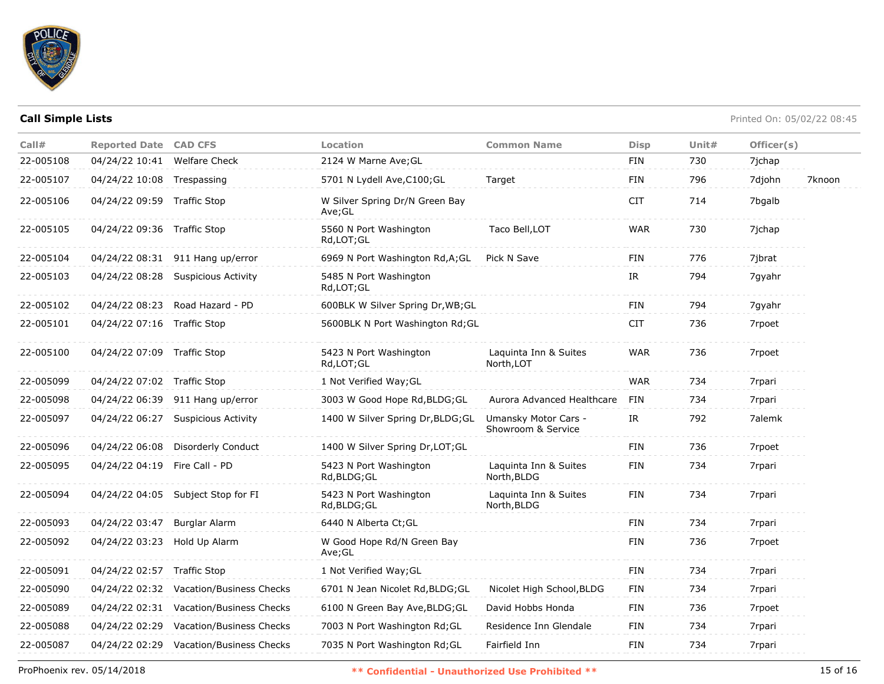

| Call#     | <b>Reported Date CAD CFS</b> |                                         | <b>Location</b>                          | <b>Common Name</b>                         | <b>Disp</b> | Unit# | Officer(s) |        |
|-----------|------------------------------|-----------------------------------------|------------------------------------------|--------------------------------------------|-------------|-------|------------|--------|
| 22-005108 | 04/24/22 10:41               | <b>Welfare Check</b>                    | 2124 W Marne Ave; GL                     |                                            | FIN         | 730   | 7jchap     |        |
| 22-005107 | 04/24/22 10:08 Trespassing   |                                         | 5701 N Lydell Ave, C100; GL              | Target                                     | FIN         | 796   | 7djohn     | 7knoon |
| 22-005106 | 04/24/22 09:59 Traffic Stop  |                                         | W Silver Spring Dr/N Green Bay<br>Ave;GL |                                            | <b>CIT</b>  | 714   | 7bgalb     |        |
| 22-005105 | 04/24/22 09:36 Traffic Stop  |                                         | 5560 N Port Washington<br>Rd,LOT;GL      | Taco Bell, LOT                             | <b>WAR</b>  | 730   | 7jchap     |        |
| 22-005104 |                              | 04/24/22 08:31 911 Hang up/error        | 6969 N Port Washington Rd, A; GL         | Pick N Save                                | FIN         | 776   | 7jbrat     |        |
| 22-005103 | 04/24/22 08:28               | <b>Suspicious Activity</b>              | 5485 N Port Washington<br>Rd,LOT;GL      |                                            | IR.         | 794   | 7gyahr     |        |
| 22-005102 |                              | 04/24/22 08:23 Road Hazard - PD         | 600BLK W Silver Spring Dr, WB; GL        |                                            | <b>FIN</b>  | 794   | 7gyahr     |        |
| 22-005101 | 04/24/22 07:16               | Traffic Stop                            | 5600BLK N Port Washington Rd; GL         |                                            | <b>CIT</b>  | 736   | 7rpoet     |        |
| 22-005100 | 04/24/22 07:09 Traffic Stop  |                                         | 5423 N Port Washington<br>Rd,LOT;GL      | Laquinta Inn & Suites<br>North, LOT        | <b>WAR</b>  | 736   | 7rpoet     |        |
| 22-005099 | 04/24/22 07:02 Traffic Stop  |                                         | 1 Not Verified Way; GL                   |                                            | <b>WAR</b>  | 734   | 7rpari     |        |
| 22-005098 | 04/24/22 06:39               | 911 Hang up/error                       | 3003 W Good Hope Rd, BLDG; GL            | Aurora Advanced Healthcare                 | FIN         | 734   | 7rpari     |        |
| 22-005097 | 04/24/22 06:27               | Suspicious Activity                     | 1400 W Silver Spring Dr, BLDG; GL        | Umansky Motor Cars -<br>Showroom & Service | IR          | 792   | 7alemk     |        |
| 22-005096 | 04/24/22 06:08               | Disorderly Conduct                      | 1400 W Silver Spring Dr, LOT; GL         |                                            | <b>FIN</b>  | 736   | 7rpoet     |        |
| 22-005095 | 04/24/22 04:19               | Fire Call - PD                          | 5423 N Port Washington<br>Rd, BLDG; GL   | Laquinta Inn & Suites<br>North, BLDG       | FIN         | 734   | 7rpari     |        |
| 22-005094 |                              | 04/24/22 04:05 Subject Stop for FI      | 5423 N Port Washington<br>Rd,BLDG;GL     | Laquinta Inn & Suites<br>North, BLDG       | <b>FIN</b>  | 734   | 7rpari     |        |
| 22-005093 | 04/24/22 03:47               | Burglar Alarm                           | 6440 N Alberta Ct; GL                    |                                            | <b>FIN</b>  | 734   | 7rpari     |        |
| 22-005092 | 04/24/22 03:23               | Hold Up Alarm                           | W Good Hope Rd/N Green Bay<br>Ave;GL     |                                            | FIN         | 736   | 7rpoet     |        |
| 22-005091 | 04/24/22 02:57 Traffic Stop  |                                         | 1 Not Verified Way; GL                   |                                            | FIN         | 734   | 7rpari     |        |
| 22-005090 |                              | 04/24/22 02:32 Vacation/Business Checks | 6701 N Jean Nicolet Rd, BLDG; GL         | Nicolet High School, BLDG                  | FIN         | 734   | 7rpari     |        |
| 22-005089 | 04/24/22 02:31               | Vacation/Business Checks                | 6100 N Green Bay Ave, BLDG; GL           | David Hobbs Honda                          | FIN         | 736   | 7rpoet     |        |
| 22-005088 | 04/24/22 02:29               | Vacation/Business Checks                | 7003 N Port Washington Rd; GL            | Residence Inn Glendale                     | FIN         | 734   | 7rpari     |        |
| 22-005087 |                              | 04/24/22 02:29 Vacation/Business Checks | 7035 N Port Washington Rd; GL            | Fairfield Inn                              | FIN         | 734   | 7rpari     |        |